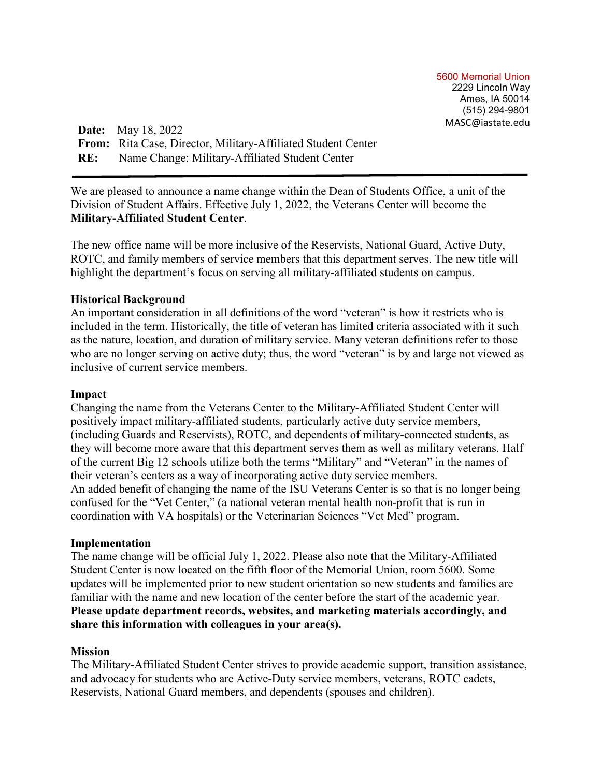5600 Memorial Union 2229 Lincoln Way Ames, IA 50014 (515) 294-9801 MASC@iastate.edu

**Date:** May 18, 2022 **From:** Rita Case, Director, Military-Affiliated Student Center **RE:** Name Change: Military-Affiliated Student Center

We are pleased to announce a name change within the Dean of Students Office, a unit of the Division of Student Affairs. Effective July 1, 2022, the Veterans Center will become the **Military-Affiliated Student Center**.

The new office name will be more inclusive of the Reservists, National Guard, Active Duty, ROTC, and family members of service members that this department serves. The new title will highlight the department's focus on serving all military-affiliated students on campus.

## **Historical Background**

An important consideration in all definitions of the word "veteran" is how it restricts who is included in the term. Historically, the title of veteran has limited criteria associated with it such as the nature, location, and duration of military service. Many veteran definitions refer to those who are no longer serving on active duty; thus, the word "veteran" is by and large not viewed as inclusive of current service members.

#### **Impact**

Changing the name from the Veterans Center to the Military-Affiliated Student Center will positively impact military-affiliated students, particularly active duty service members, (including Guards and Reservists), ROTC, and dependents of military-connected students, as they will become more aware that this department serves them as well as military veterans. Half of the current Big 12 schools utilize both the terms "Military" and "Veteran" in the names of their veteran's centers as a way of incorporating active duty service members. An added benefit of changing the name of the ISU Veterans Center is so that is no longer being confused for the "Vet Center," (a national veteran mental health non-profit that is run in coordination with VA hospitals) or the Veterinarian Sciences "Vet Med" program.

#### **Implementation**

The name change will be official July 1, 2022. Please also note that the Military-Affiliated Student Center is now located on the fifth floor of the Memorial Union, room 5600. Some updates will be implemented prior to new student orientation so new students and families are familiar with the name and new location of the center before the start of the academic year. **Please update department records, websites, and marketing materials accordingly, and share this information with colleagues in your area(s).**

#### **Mission**

The Military-Affiliated Student Center strives to provide academic support, transition assistance, and advocacy for students who are Active-Duty service members, veterans, ROTC cadets, Reservists, National Guard members, and dependents (spouses and children).